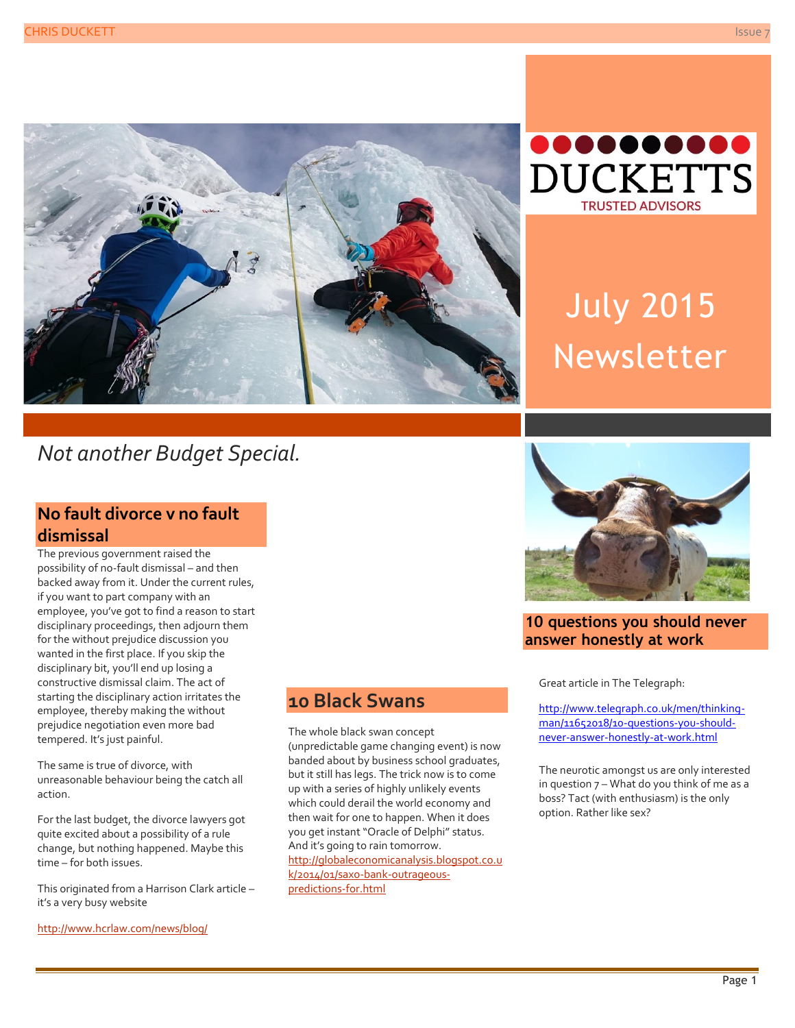



# July 2015 Newsletter

## *Not another Budget Special.*

#### **No fault divorce v no fault dismissal**

The previous government raised the possibility of no-fault dismissal – and then backed away from it. Under the current rules, if you want to part company with an employee, you've got to find a reason to start disciplinary proceedings, then adjourn them for the without prejudice discussion you wanted in the first place. If you skip the disciplinary bit, you'll end up losing a constructive dismissal claim. The act of starting the disciplinary action irritates the employee, thereby making the without prejudice negotiation even more bad tempered. It's just painful.

The same is true of divorce, with unreasonable behaviour being the catch all action.

For the last budget, the divorce lawyers got quite excited about a possibility of a rule change, but nothing happened. Maybe this time – for both issues.

This originated from a Harrison Clark article – it's a very busy website

<http://www.hcrlaw.com/news/blog/>

### **10 Black Swans**

The whole black swan concept (unpredictable game changing event) is now banded about by business school graduates, but it still has legs. The trick now is to come up with a series of highly unlikely events which could derail the world economy and then wait for one to happen. When it does you get instant "Oracle of Delphi" status. And it's going to rain tomorrow. [http://globaleconomicanalysis.blogspot.co.u](http://globaleconomicanalysis.blogspot.co.uk/2014/01/saxo-bank-outrageous-predictions-for.html) [k/2014/01/saxo-bank-outrageous](http://globaleconomicanalysis.blogspot.co.uk/2014/01/saxo-bank-outrageous-predictions-for.html)[predictions-for.html](http://globaleconomicanalysis.blogspot.co.uk/2014/01/saxo-bank-outrageous-predictions-for.html)



#### **10 questions you should never answer honestly at work**

Great article in The Telegraph:

[http://www.telegraph.co.uk/men/thinking](http://www.telegraph.co.uk/men/thinking-man/11652018/10-questions-you-should-never-answer-honestly-at-work.html)[man/11652018/10-questions-you-should](http://www.telegraph.co.uk/men/thinking-man/11652018/10-questions-you-should-never-answer-honestly-at-work.html)[never-answer-honestly-at-work.html](http://www.telegraph.co.uk/men/thinking-man/11652018/10-questions-you-should-never-answer-honestly-at-work.html)

The neurotic amongst us are only interested in question 7 – What do you think of me as a boss? Tact (with enthusiasm) is the only option. Rather like sex?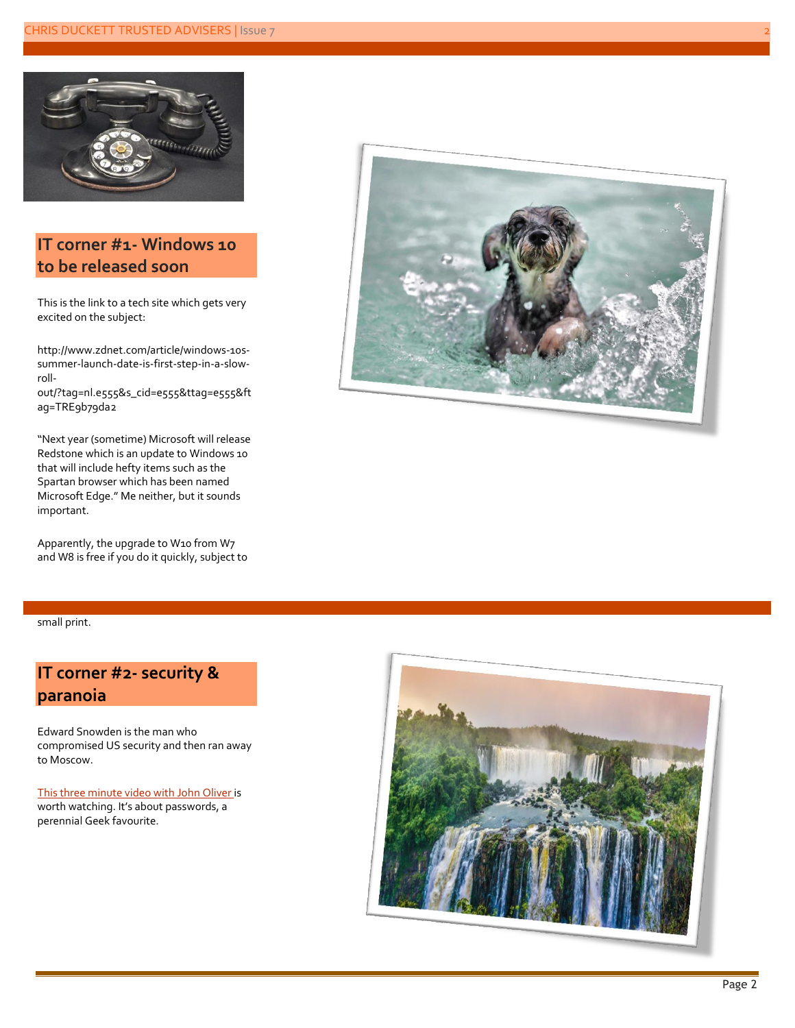

#### **IT corner #1- Windows 10 to be released soon**

This is the link to a tech site which gets very excited on the subject:

http://www.zdnet.com/article/windows-10ssummer-launch-date-is-first-step-in-a-slowroll-

out/?tag=nl.e555&s\_cid=e555&ttag=e555&ft ag=TRE9b79da2

"Next year (sometime) Microsoft will release Redstone which is an update to Windows 10 that will include hefty items such as the Spartan browser which has been named Microsoft Edge." Me neither, but it sounds important.

Apparently, the upgrade to W10 from W7 and W8 is free if you do it quickly, subject to



small print.

#### **IT corner #2- security & paranoia**

Edward Snowden is the man who compromised US security and then ran away to Moscow.

[This three minute video with John Oliver i](https://www.youtube.com/watch?v=yzGzB-yYKcc)s worth watching. It's about passwords, a perennial Geek favourite.

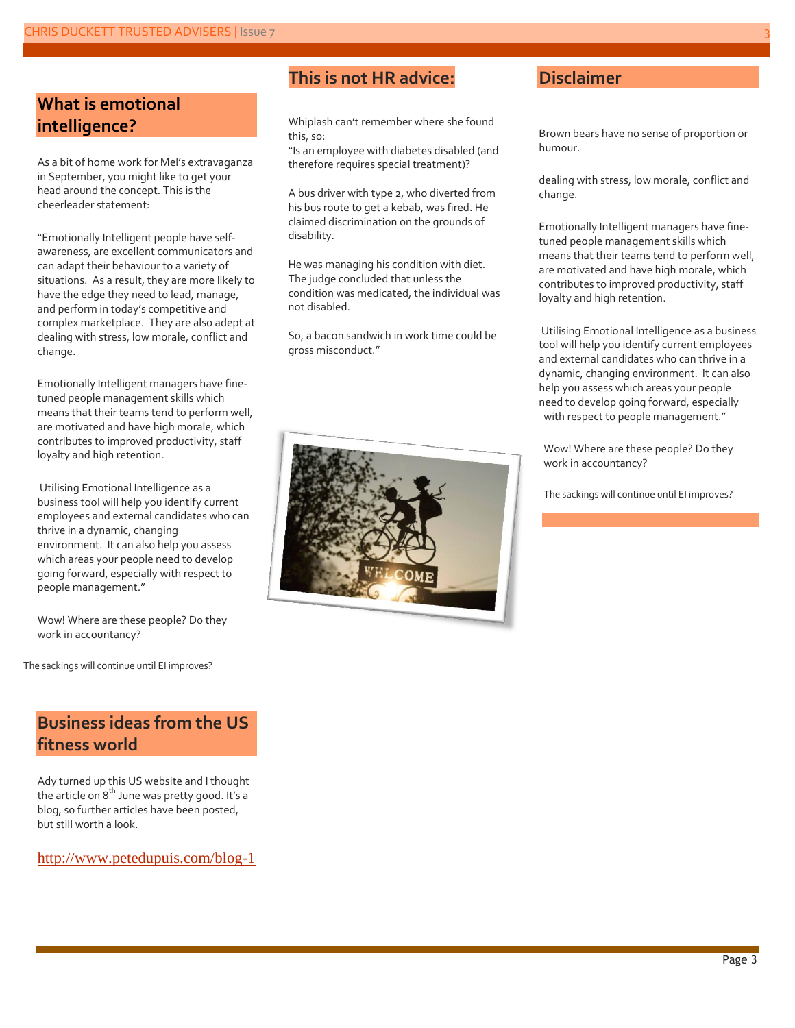#### **What is emotional intelligence?**

As a bit of home work for Mel's extravaganza in September, you might like to get your head around the concept. This is the cheerleader statement:

"Emotionally Intelligent people have selfawareness, are excellent communicators and can adapt their behaviour to a variety of situations. As a result, they are more likely to have the edge they need to lead, manage, and perform in today's competitive and complex marketplace. They are also adept at dealing with stress, low morale, conflict and change.

Emotionally Intelligent managers have finetuned people management skills which means that their teams tend to perform well, are motivated and have high morale, which contributes to improved productivity, staff loyalty and high retention.

Utilising Emotional Intelligence as a business tool will help you identify current employees and external candidates who can thrive in a dynamic, changing environment. It can also help you assess which areas your people need to develop going forward, especially with respect to people management."

Wow! Where are these people? Do they work in accountancy?

The sackings will continue until EI improves?

#### **Business ideas from the US fitness world**

Ady turned up this US website and I thought the article on  $8<sup>th</sup>$  June was pretty good. It's a blog, so further articles have been posted, but still worth a look.

<http://www.petedupuis.com/blog-1>

#### **This is not HR advice:**

Whiplash can't remember where she found this, so:

"Is an employee with diabetes disabled (and therefore requires special treatment)?

A bus driver with type 2, who diverted from his bus route to get a kebab, was fired. He claimed discrimination on the grounds of disability.

He was managing his condition with diet. The judge concluded that unless the condition was medicated, the individual was not disabled.

So, a bacon sandwich in work time could be gross misconduct."



#### **Disclaimer**

Brown bears have no sense of proportion or humour.

dealing with stress, low morale, conflict and change.

Emotionally Intelligent managers have finetuned people management skills which means that their teams tend to perform well, are motivated and have high morale, which contributes to improved productivity, staff loyalty and high retention.

Utilising Emotional Intelligence as a business tool will help you identify current employees and external candidates who can thrive in a dynamic, changing environment. It can also help you assess which areas your people need to develop going forward, especially with respect to people management."

Wow! Where are these people? Do they work in accountancy?

The sackings will continue until EI improves?